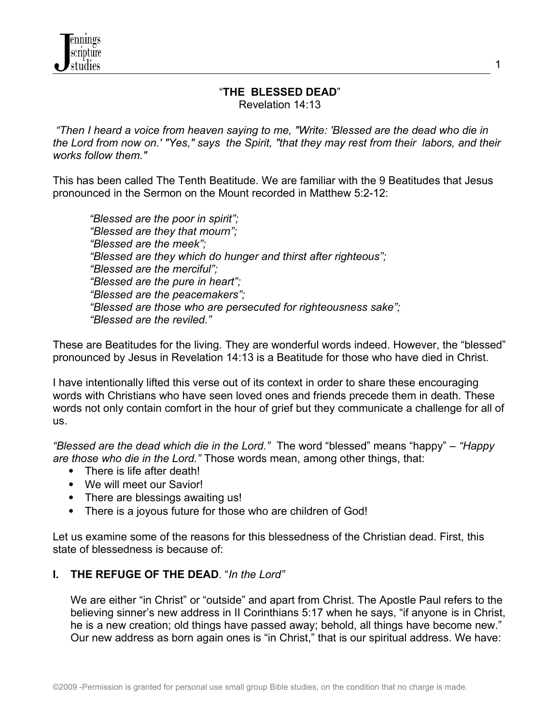## "**THE BLESSED DEAD**" Revelation 14:13

 *"Then I heard a voice from heaven saying to me, "Write: 'Blessed are the dead who die in the Lord from now on.' "Yes," says the Spirit, "that they may rest from their labors, and their works follow them."* 

This has been called The Tenth Beatitude. We are familiar with the 9 Beatitudes that Jesus pronounced in the Sermon on the Mount recorded in Matthew 5:2-12:

 *"Blessed are the poor in spirit"; "Blessed are they that mourn"; "Blessed are the meek"; "Blessed are they which do hunger and thirst after righteous"; "Blessed are the merciful"; "Blessed are the pure in heart"; "Blessed are the peacemakers"; "Blessed are those who are persecuted for righteousness sake"; "Blessed are the reviled."* 

These are Beatitudes for the living. They are wonderful words indeed. However, the "blessed" pronounced by Jesus in Revelation 14:13 is a Beatitude for those who have died in Christ.

I have intentionally lifted this verse out of its context in order to share these encouraging words with Christians who have seen loved ones and friends precede them in death. These words not only contain comfort in the hour of grief but they communicate a challenge for all of us.

*"Blessed are the dead which die in the Lord."* The word "blessed" means "happy" – *"Happy are those who die in the Lord."* Those words mean, among other things, that:

- There is life after death!
- We will meet our Savior!
- There are blessings awaiting us!
- There is a joyous future for those who are children of God!

Let us examine some of the reasons for this blessedness of the Christian dead. First, this state of blessedness is because of:

## **I. THE REFUGE OF THE DEAD**. "*In the Lord"*

We are either "in Christ" or "outside" and apart from Christ. The Apostle Paul refers to the believing sinner's new address in II Corinthians 5:17 when he says, "if anyone is in Christ, he is a new creation; old things have passed away; behold, all things have become new." Our new address as born again ones is "in Christ," that is our spiritual address. We have: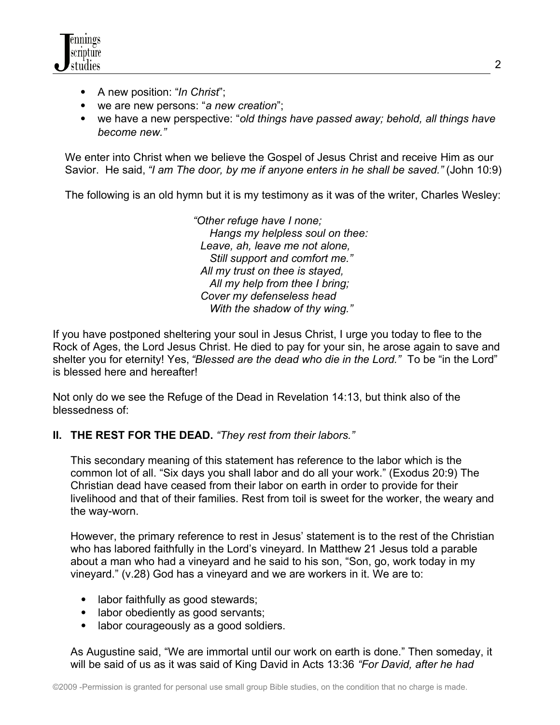

- A new position: "*In Christ*";
- we are new persons: "*a new creation*";
- we have a new perspective: "*old things have passed away; behold, all things have become new."*

 We enter into Christ when we believe the Gospel of Jesus Christ and receive Him as our Savior. He said, *"I am The door, by me if anyone enters in he shall be saved."* (John 10:9)

The following is an old hymn but it is my testimony as it was of the writer, Charles Wesley:

 *"Other refuge have I none; Hangs my helpless soul on thee: Leave, ah, leave me not alone, Still support and comfort me." All my trust on thee is stayed, All my help from thee I bring; Cover my defenseless head With the shadow of thy wing."*

If you have postponed sheltering your soul in Jesus Christ, I urge you today to flee to the Rock of Ages, the Lord Jesus Christ. He died to pay for your sin, he arose again to save and shelter you for eternity! Yes, *"Blessed are the dead who die in the Lord."* To be "in the Lord" is blessed here and hereafter!

Not only do we see the Refuge of the Dead in Revelation 14:13, but think also of the blessedness of:

## **II. THE REST FOR THE DEAD.** *"They rest from their labors."*

This secondary meaning of this statement has reference to the labor which is the common lot of all. "Six days you shall labor and do all your work." (Exodus 20:9) The Christian dead have ceased from their labor on earth in order to provide for their livelihood and that of their families. Rest from toil is sweet for the worker, the weary and the way-worn.

However, the primary reference to rest in Jesus' statement is to the rest of the Christian who has labored faithfully in the Lord's vineyard. In Matthew 21 Jesus told a parable about a man who had a vineyard and he said to his son, "Son, go, work today in my vineyard." (v.28) God has a vineyard and we are workers in it. We are to:

- labor faithfully as good stewards;
- labor obediently as good servants;
- labor courageously as a good soldiers.

As Augustine said, "We are immortal until our work on earth is done." Then someday, it will be said of us as it was said of King David in Acts 13:36 *"For David, after he had*